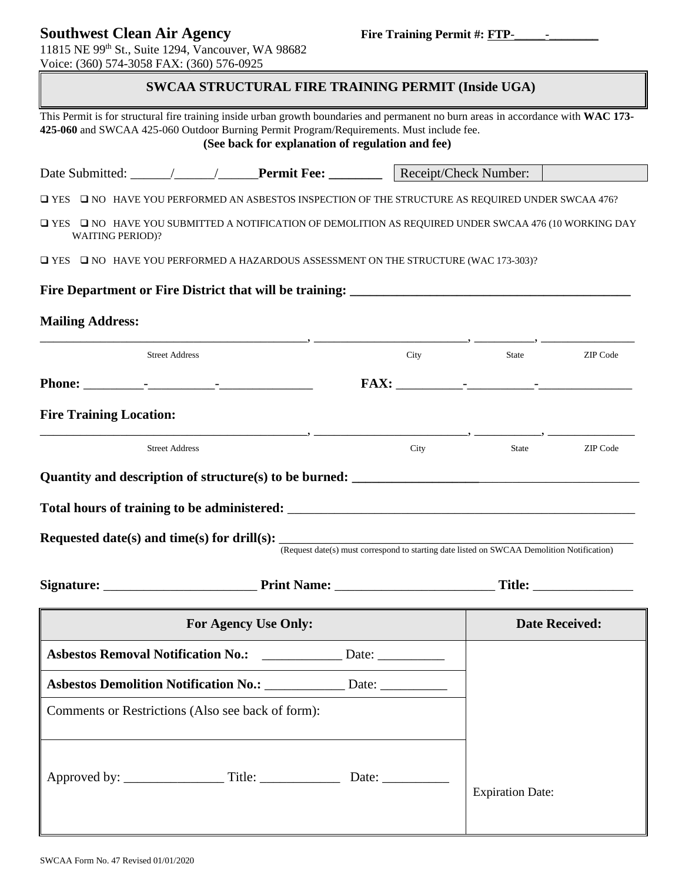## **Southwest Clean Air Agency Fire Training Permit #: FTP-**

11815 NE 99th St., Suite 1294, Vancouver, WA 98682 Voice: (360) 574-3058 FAX: (360) 576-0925

## **SWCAA STRUCTURAL FIRE TRAINING PERMIT (Inside UGA)**

This Permit is for structural fire training inside urban growth boundaries and permanent no burn areas in accordance with **WAC 173- 425-060** and SWCAA 425-060 Outdoor Burning Permit Program/Requirements. Must include fee. **(See back for explanation of regulation and fee)** Date Submitted: \_\_\_\_\_\_/\_\_\_\_\_\_/\_\_\_\_\_\_**Permit Fee: \_\_\_\_\_\_\_\_** Receipt/Check Number:❑ YES ❑ NO HAVE YOU PERFORMED AN ASBESTOS INSPECTION OF THE STRUCTURE AS REQUIRED UNDER SWCAA 476? ❑ YES ❑ NO HAVE YOU SUBMITTED A NOTIFICATION OF DEMOLITION AS REQUIRED UNDER SWCAA 476 (10 WORKING DAY WAITING PERIOD)? ❑ YES ❑ NO HAVE YOU PERFORMED A HAZARDOUS ASSESSMENT ON THE STRUCTURE (WAC 173-303)? **Fire Department or Fire District that will be training:**  $\blacksquare$ **Mailing Address:** \_\_\_\_\_\_\_\_\_\_\_\_\_\_\_\_\_\_\_\_\_\_\_\_\_\_\_\_\_\_\_\_\_\_\_\_\_\_\_\_, \_\_\_\_\_\_\_\_\_\_\_\_\_\_\_\_\_\_\_\_\_\_\_, \_\_\_\_\_\_\_\_\_, \_\_\_\_\_\_\_\_\_\_\_\_\_\_ Street Address and Street Address and Street Address and Street Address and Street Address and Street Address and Street Address and Street Address and Street Address and Street Address and Street Address and Street Addres **Phone:** \_\_\_\_\_\_\_\_\_-\_\_\_\_\_\_\_\_\_\_-\_\_\_\_\_\_\_\_\_\_\_\_\_\_ **FAX:** \_\_\_\_\_\_\_\_\_\_-\_\_\_\_\_\_\_\_\_\_-\_\_\_\_\_\_\_\_\_\_\_\_\_\_ **Fire Training Location:** \_\_\_\_\_\_\_\_\_\_\_\_\_\_\_\_\_\_\_\_\_\_\_\_\_\_\_\_\_\_\_\_\_\_\_\_\_\_\_\_, \_\_\_\_\_\_\_\_\_\_\_\_\_\_\_\_\_\_\_\_\_\_\_, \_\_\_\_\_\_\_\_\_\_, \_\_\_\_\_\_\_\_\_\_\_\_\_ Street Address and the code of the code of the code of the code of the code of the code of the code of the code of the code of the code of the code of the code of the code of the code of the code of the code of the code of **Quantity and description of structure(s) to be burned: \_\_\_\_\_\_\_\_\_\_\_\_\_\_\_\_\_\_\_**\_\_\_\_\_\_\_\_\_\_\_\_\_\_\_\_\_\_\_\_\_\_\_\_ **Total hours of training to be administered:** \_\_\_\_\_\_\_\_\_\_\_\_\_\_\_\_\_\_\_\_\_\_\_\_\_\_\_\_\_\_\_\_\_\_\_\_\_\_\_\_\_\_\_\_\_\_\_\_\_\_\_\_ Requested date(s) and time(s) for drill(s): (Request date(s) must correspond to starting date listed on SWCAA Demolition Notification) Signature: Title: **For Agency Use Only: Date Received: Date Received: Asbestos Removal Notification No.:** 2016. Date: Expiration Date: Asbestos Demolition Notification No.: \_\_\_\_\_\_\_\_\_\_\_\_ Date: \_\_\_\_\_\_\_\_\_\_\_ Comments or Restrictions (Also see back of form): Approved by: \_\_\_\_\_\_\_\_\_\_\_\_\_\_\_ Title: \_\_\_\_\_\_\_\_\_\_\_\_ Date: \_\_\_\_\_\_\_\_\_\_